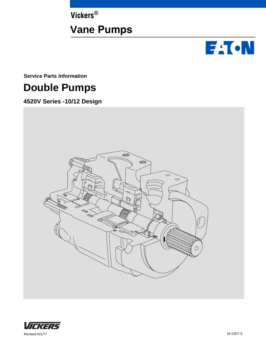**Vickers®**

## **Vane Pumps**



**Service Parts Information**

## **Double Pumps**

**4520V Series -10/12 Design**



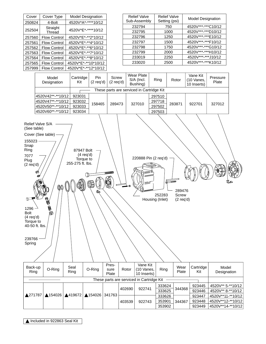| Cover  | Cover Type                | <b>Model Designation</b> |
|--------|---------------------------|--------------------------|
| 250824 | 4-Bolt                    | 4520V*A*-****10/12       |
| 252504 | Straight<br><b>Thread</b> | 4520V*E*-****10/12       |
| 257560 | <b>Flow Control</b>       | 4520V*E*-**2*10/12       |
| 257561 | <b>Flow Control</b>       | 4520V*E*-**4*10/12       |
| 257562 | <b>Flow Control</b>       | 4520V*E*-**6*10/12       |
| 257563 | <b>Flow Control</b>       | 4520V*E*-**7*10/12       |
| 257564 | <b>Flow Control</b>       | 4520V*E*-**8*10/12       |
| 257565 | <b>Flow Control</b>       | 4520V*E*-**10*10/12      |
| 257999 | <b>Flow Control</b>       | 4520V*E*-**12*10/12      |

| <b>Relief Valve</b><br>Sub-Assembly | <b>Relief Valve</b><br>Setting (psi) | <b>Model Designation</b> |
|-------------------------------------|--------------------------------------|--------------------------|
| 232794                              | 750                                  | 4520V***-***C10/12       |
| 232795                              | 1000                                 | 4520V***-***D10/12       |
| 232796                              | 1250                                 | 4520V***-****E10/12      |
| 232797                              | 1500                                 | 4520V***-***F10/12       |
| 232798                              | 1750                                 | 4520V***-***G10/12       |
| 232799                              | 2000                                 | 4520V***-***H10/12       |
| 233019                              | 2250                                 | 4520V***-****J10/12      |
| 233020                              | 2500                                 | 4520V***-***K10/12       |
|                                     |                                      |                          |

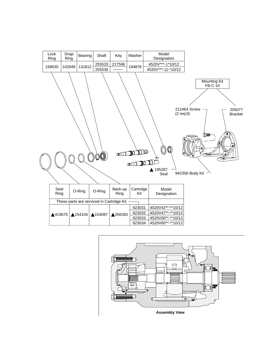